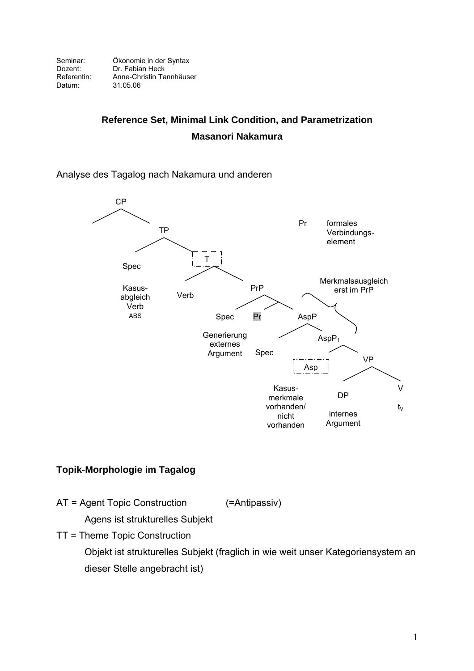Seminar: Ökonomie in der Syntax<br>Dozent: Dr. Fabian Heck Dozent: Dr. Fabian Heck<br>Referentin: Anne-Christin Ta Referentin: Anne-Christin Tannhäuser<br>Datum: 31.05.06 31.05.06

# **Reference Set, Minimal Link Condition, and Parametrization Masanori Nakamura**

### Analyse des Tagalog nach Nakamura und anderen



## **Topik-Morphologie im Tagalog**

AT = Agent Topic Construction (=Antipassiv)

Agens ist strukturelles Subjekt

TT = Theme Topic Construction

Objekt ist strukturelles Subjekt (fraglich in wie weit unser Kategoriensystem an dieser Stelle angebracht ist)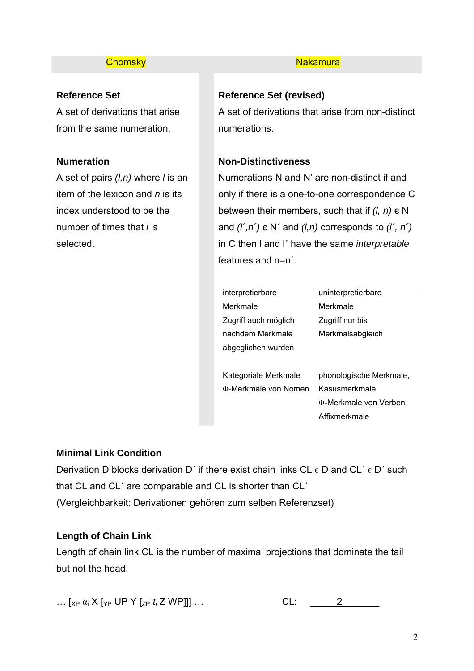## **Reference Set**

A set of derivations that arise from the same numeration.

## **Numeration**

A set of pairs *(l,n)* where *l* is an item of the lexicon and *n* is its index understood to be the number of times that *l* is selected.

#### **Chomsky** Nakamura Nakamura

## **Reference Set (revised)**

A set of derivations that arise from non-distinct numerations.

## **Non-Distinctiveness**

Numerations N and N' are non-distinct if and only if there is a one-to-one correspondence C between their members, such that if *(l, n)* є N and *(l´,n´)* є N´ and *(l,n)* corresponds to *(l´, n´)* in C then l and l´ have the same *interpretable* features and n=n´.

| interpretierbare            | uninterpretierbare      |
|-----------------------------|-------------------------|
| Merkmale                    | Merkmale                |
| Zugriff auch möglich        | Zugriff nur bis         |
| nachdem Merkmale            | Merkmalsabgleich        |
| abgeglichen wurden          |                         |
|                             |                         |
| Kategoriale Merkmale        | phonologische Merkmale, |
| <b>D-Merkmale von Nomen</b> | Kasusmerkmale           |
|                             |                         |

Φ-Merkmale von Verben

Affixmerkmale

## **Minimal Link Condition**

Derivation D blocks derivation D' if there exist chain links CL  $\epsilon$  D and CL'  $\epsilon$  D' such that CL and CL´ are comparable and CL is shorter than CL´ (Vergleichbarkeit: Derivationen gehören zum selben Referenzset)

## **Length of Chain Link**

Length of chain link CL is the number of maximal projections that dominate the tail but not the head.

 $\ldots$  [<sub>XP</sub>  $\alpha_i$  X [<sub>YP</sub> UP Y [<sub>ZP</sub>  $t_i$  Z WP]]]  $\ldots$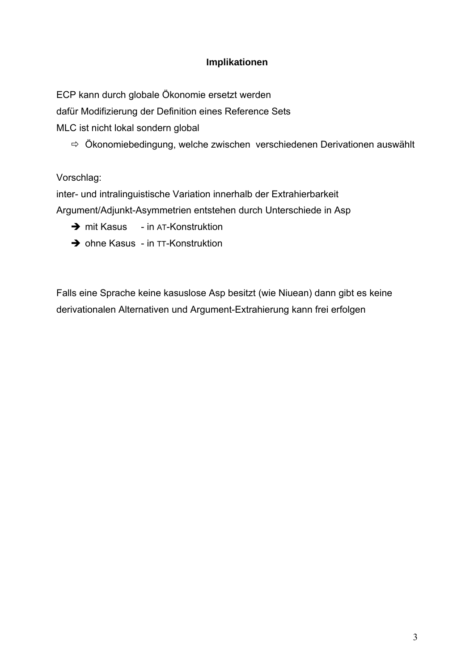## **Implikationen**

ECP kann durch globale Ökonomie ersetzt werden

dafür Modifizierung der Definition eines Reference Sets

MLC ist nicht lokal sondern global

 $\Rightarrow$  Ökonomiebedingung, welche zwischen verschiedenen Derivationen auswählt

Vorschlag:

inter- und intralinguistische Variation innerhalb der Extrahierbarkeit

Argument/Adjunkt-Asymmetrien entstehen durch Unterschiede in Asp

- $\rightarrow$  mit Kasus in AT-Konstruktion
- $\rightarrow$  ohne Kasus in TT-Konstruktion

Falls eine Sprache keine kasuslose Asp besitzt (wie Niuean) dann gibt es keine derivationalen Alternativen und Argument-Extrahierung kann frei erfolgen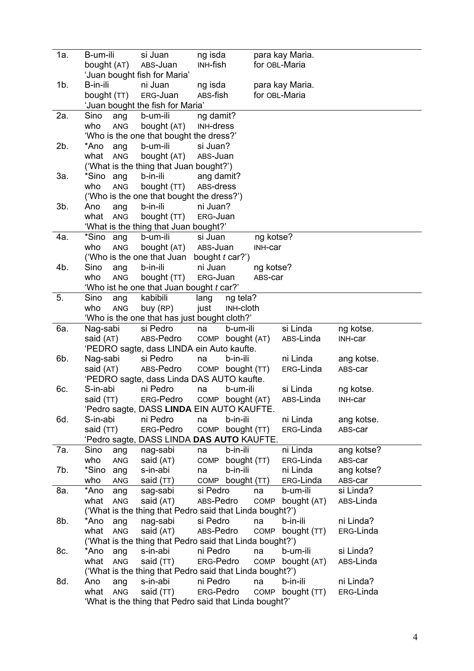| 1a.    | B-um-ili          | si Juan                                                  | ng isda                |                  |           | para kay Maria.  |            |
|--------|-------------------|----------------------------------------------------------|------------------------|------------------|-----------|------------------|------------|
|        | bought (AT)       | ABS-Juan                                                 | INH-fish               |                  |           | for OBL-Maria    |            |
|        |                   | 'Juan bought fish for Maria'                             |                        |                  |           |                  |            |
| $1b$ . | B-in-ili          | ni Juan                                                  | ng isda                |                  |           | para kay Maria.  |            |
|        | bought (TT)       | ERG-Juan                                                 | ABS-fish               |                  |           | for OBL-Maria    |            |
|        |                   | 'Juan bought the fish for Maria'                         |                        |                  |           |                  |            |
| 2a.    | Sino<br>ang       | b-um-ili                                                 | ng damit?              |                  |           |                  |            |
|        | who<br>ANG        | bought (AT)                                              | <b>INH-dress</b>       |                  |           |                  |            |
|        |                   | 'Who is the one that bought the dress?'                  |                        |                  |           |                  |            |
| 2b.    | *Ano<br>ang       | b-um-ili                                                 | si Juan?               |                  |           |                  |            |
|        | what<br>ANG       | bought (AT)                                              | ABS-Juan               |                  |           |                  |            |
|        |                   | ('What is the thing that Juan bought?')                  |                        |                  |           |                  |            |
| За.    | *Sino ang         | b-in-ili                                                 | ang damit?             |                  |           |                  |            |
|        | who<br>ANG        | bought (TT)                                              | ABS-dress              |                  |           |                  |            |
|        |                   | ('Who is the one that bought the dress?')                |                        |                  |           |                  |            |
| $3b$ . | Ano<br>ang        | b-in-ili                                                 | ni Juan?               |                  |           |                  |            |
|        | what<br>ANG       | bought (TT)                                              | ERG-Juan               |                  |           |                  |            |
|        |                   | 'What is the thing that Juan bought?'                    |                        |                  |           |                  |            |
| 4a.    | *Sino<br>ang      | b-um-ili                                                 | si Juan                |                  | ng kotse? |                  |            |
|        | who<br><b>ANG</b> | bought (AT)                                              | ABS-Juan               |                  | INH-car   |                  |            |
|        |                   | ('Who is the one that Juan                               | bought <i>t</i> car?') |                  |           |                  |            |
| 4b.    | Sino<br>ang       | b-in-ili                                                 | ni Juan                |                  | ng kotse? |                  |            |
|        | who<br>ANG        | bought (TT)                                              | ERG-Juan               |                  | ABS-car   |                  |            |
|        |                   | 'Who ist he one that Juan bought t car?'                 |                        |                  |           |                  |            |
| 5.     | Sino<br>ang       | kabibili                                                 | lang                   | ng tela?         |           |                  |            |
|        | who<br>ANG        | buy (RP)                                                 | just                   | <b>INH-cloth</b> |           |                  |            |
|        |                   | 'Who is the one that has just bought cloth?'             |                        |                  |           |                  |            |
| 6а.    | Nag-sabi          | si Pedro                                                 | na                     | b-um-ili         |           | si Linda         | ng kotse.  |
|        | said (AT)         | ABS-Pedro                                                | COMP                   | bought (AT)      |           | ABS-Linda        | INH-car    |
|        |                   | 'PEDRO sagte, dass LINDA ein Auto kaufte.                |                        |                  |           |                  |            |
| 6b.    | Nag-sabi          | si Pedro                                                 | na                     | b-in-ili         |           | ni Linda         | ang kotse. |
|        | said (AT)         | ABS-Pedro                                                |                        | COMP bought (TT) |           | ERG-Linda        | ABS-car    |
|        |                   | 'PEDRO sagte, dass Linda DAS AUTO kaufte.                |                        |                  |           |                  |            |
| 6c.    | S-in-abi          | ni Pedro                                                 | na                     | b-um-ili         |           | si Linda         | ng kotse.  |
|        | said (TT)         | ERG-Pedro COMP bought (AT)                               |                        |                  |           | ABS-Linda        | INH-car    |
|        |                   | 'Pedro sagte, DASS LINDA EIN AUTO KAUFTE.                |                        |                  |           |                  |            |
| 6d.    | S-in-abi          | ni Pedro                                                 | na                     | b-in-ili         |           | ni Linda         | ang kotse. |
|        | said (TT)         | ERG-Pedro                                                | COMP                   | bought (TT)      |           | ERG-Linda        | ABS-car    |
|        |                   | 'Pedro sagte, DASS LINDA DAS AUTO KAUFTE.                |                        |                  |           |                  |            |
| 7a.    |                   | nag-sabi                                                 | na                     | b-in-ili         |           | ni Linda         | ang kotse? |
|        | Sino<br>ang       |                                                          |                        |                  |           |                  |            |
|        | who<br>ANG        | said (AT)                                                | COMP                   | bought (TT)      |           | ERG-Linda        | ABS-car    |
| 7b.    | *Sino<br>ang      | s-in-abi                                                 | na                     | b-in-ili         |           | ni Linda         | ang kotse? |
|        | who<br>ANG        | said (TT)                                                | COMP                   | bought (TT)      |           | ERG-Linda        | ABS-car    |
| 8a.    | *Ano<br>ang       | sag-sabi                                                 | si Pedro               |                  | na        | b-um-ili         | si Linda?  |
|        | what<br>ANG       | said (AT)                                                | ABS-Pedro              |                  | COMP      | bought (AT)      | ABS-Linda  |
|        |                   | ('What is the thing that Pedro said that Linda bought?') |                        |                  |           |                  |            |
| 8b.    | *Ano<br>ang       | nag-sabi                                                 | si Pedro               |                  | na        | b-in-ili         | ni Linda?  |
|        | what<br>ANG       | said (AT)                                                | ABS-Pedro              |                  | COMP      | bought (TT)      | ERG-Linda  |
|        |                   | ('What is the thing that Pedro said that Linda bought?') |                        |                  |           |                  |            |
| 8c.    | *Ano<br>ang       | s-in-abi                                                 | ni Pedro               |                  | na        | b-um-ili         | si Linda?  |
|        | what<br>ANG       | said (TT)                                                | ERG-Pedro              |                  |           | COMP bought (AT) | ABS-Linda  |
|        |                   | ('What is the thing that Pedro said that Linda bought?') |                        |                  |           |                  |            |
| 8d.    | Ano<br>ang        | s-in-abi                                                 | ni Pedro               |                  | na        | b-in-ili         | ni Linda?  |
|        | what<br>ANG       | said (TT)                                                | ERG-Pedro              |                  | COMP      | bought (TT)      | ERG-Linda  |